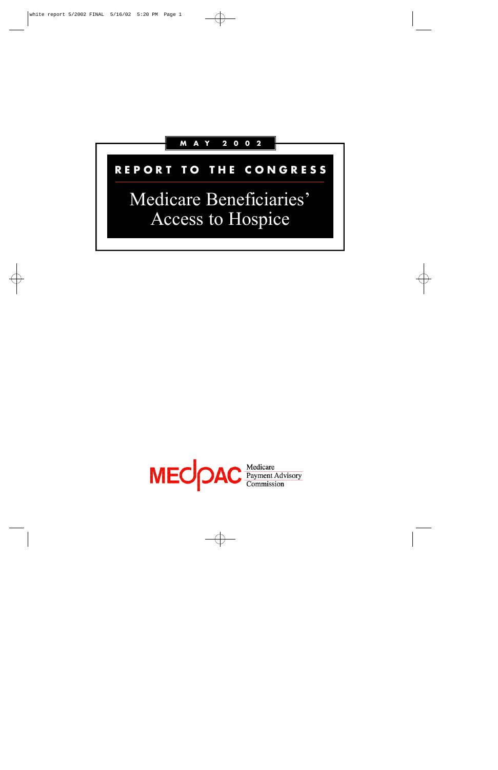

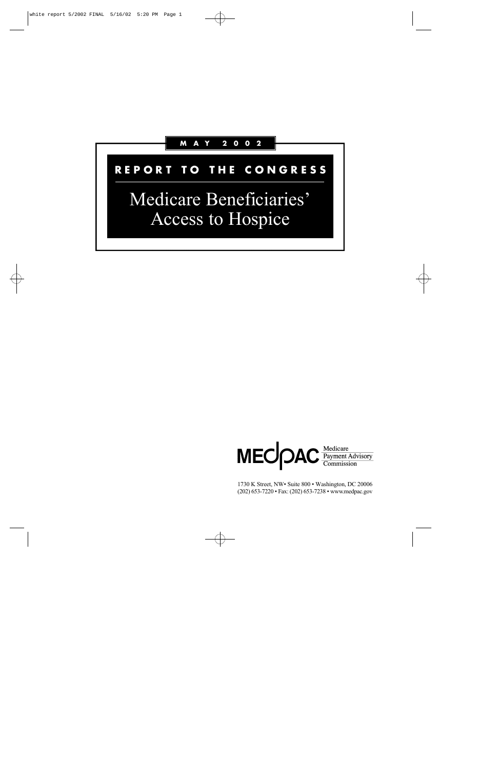# **M A Y 2 0 0 2**

# **R E P O R T T O T H E C O N G R E S S**

# Medicare Beneficiaries' Access to Hospice



1730 K Street, NW• Suite 800 • Washington, DC 20006 (202) 653-7220 • Fax: (202) 653-7238 • www.medpac.gov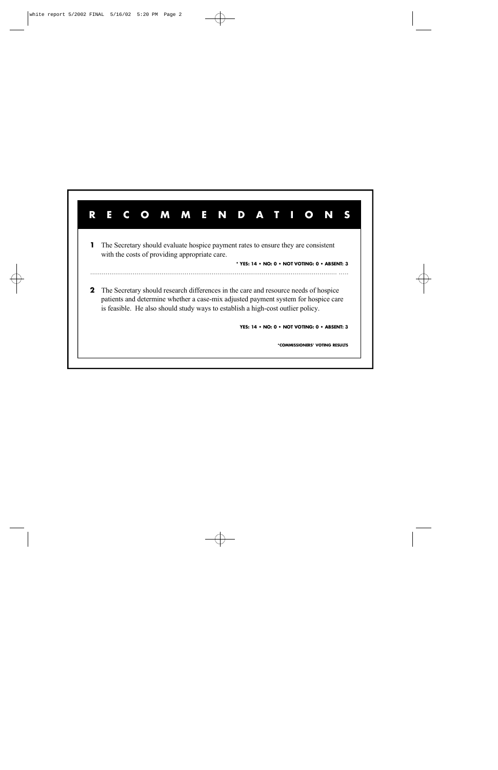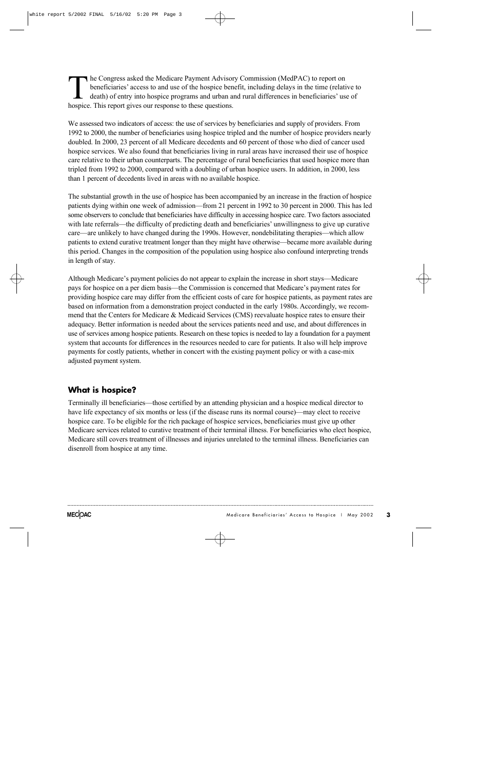The Congress asked the Medicare Payment Advisor<br>beneficiaries' access to and use of the hospice ben<br>death) of entry into hospice programs and urban a<br>hospice. This report gives our response to these questions. he Congress asked the Medicare Payment Advisory Commission (MedPAC) to report on beneficiaries' access to and use of the hospice benefit, including delays in the time (relative to death) of entry into hospice programs and urban and rural differences in beneficiaries' use of

We assessed two indicators of access: the use of services by beneficiaries and supply of providers. From 1992 to 2000, the number of beneficiaries using hospice tripled and the number of hospice providers nearly doubled. In 2000, 23 percent of all Medicare decedents and 60 percent of those who died of cancer used hospice services. We also found that beneficiaries living in rural areas have increased their use of hospice care relative to their urban counterparts. The percentage of rural beneficiaries that used hospice more than tripled from 1992 to 2000, compared with a doubling of urban hospice users. In addition, in 2000, less than 1 percent of decedents lived in areas with no available hospice.

The substantial growth in the use of hospice has been accompanied by an increase in the fraction of hospice patients dying within one week of admission—from 21 percent in 1992 to 30 percent in 2000. This has led some observers to conclude that beneficiaries have difficulty in accessing hospice care. Two factors associated with late referrals—the difficulty of predicting death and beneficiaries' unwillingness to give up curative care—are unlikely to have changed during the 1990s. However, nondebilitating therapies—which allow patients to extend curative treatment longer than they might have otherwise—became more available during this period. Changes in the composition of the population using hospice also confound interpreting trends in length of stay.

Although Medicare's payment policies do not appear to explain the increase in short stays—Medicare pays for hospice on a per diem basis—the Commission is concerned that Medicare's payment rates for providing hospice care may differ from the efficient costs of care for hospice patients, as payment rates are based on information from a demonstration project conducted in the early 1980s. Accordingly, we recommend that the Centers for Medicare & Medicaid Services (CMS) reevaluate hospice rates to ensure their a dequacy. Better information is needed about the services patients need and use, and about differences in use of services among hospice patients. Research on these topics is needed to lay a foundation for a payment system that accounts for differences in the resources needed to care for patients. It also will help improve payments for costly patients, whether in concert with the existing payment policy or with a case-mix adjusted payment system.

## **What is hospice?**

Terminally ill beneficiaries—those certified by an attending physician and a hospice medical director to have life expectancy of six months or less (if the disease runs its normal course)—may elect to receive hospice care. To be eligible for the rich package of hospice services, beneficiaries must give up other Medicare services related to curative treatment of their terminal illness. For beneficiaries who elect hospice, Medicare still covers treatment of illnesses and injuries unrelated to the terminal illness. Beneficiaries can disenroll from hospice at any time.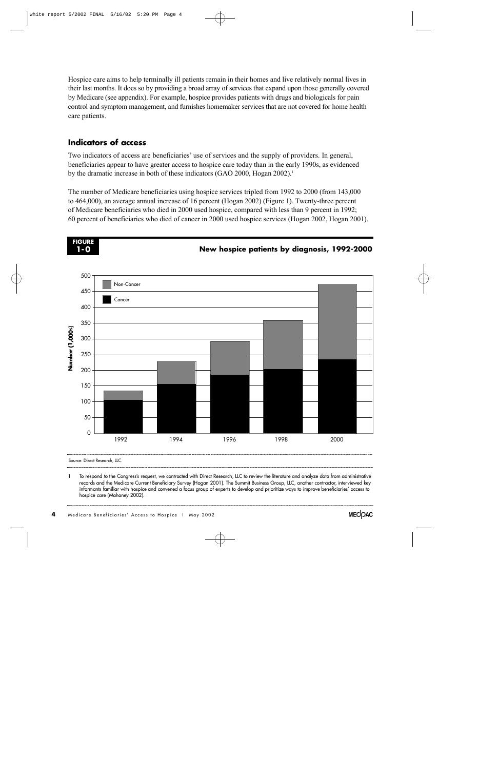Hospice care aims to help terminally ill patients remain in their homes and live relatively normal lives in their last months. It does so by providing a broad array of services that expand upon those generally covered by Medicare (see appendix). For example, hospice provides patients with drugs and biologicals for pain control and symptom management, and furnishes homemaker services that are not covered for home health care patients.

## **Indicators of access**

Two indicators of access are beneficiaries' use of services and the supply of providers. In general, beneficiaries appear to have greater access to hospice care today than in the early 1990s, as evidenced by the dramatic increase in both of these indicators (GAO 2000, Hogan 2002).<sup>1</sup>

The number of Medicare beneficiaries using hospice services tripled from 1992 to 2000 (from 143,000 to 464,000), an average annual increase of 16 percent (Hogan 2002) (Figure 1). Twenty-three percent of Medicare beneficiaries who died in 2000 used hospice, compared with less than 9 percent in 1992; 60 percent of beneficiaries who died of cancer in 2000 used hospice services (Hogan 2002, Hogan 2001).



Source: Direct Research, LLC.

To respond to the Congress's request, we contracted with Direct Research, LLC to review the literature and analyze data from administrative records and the Medicare Current Beneficiary Survey (Hogan 2001). The Summit Business Group, LLC, another contractor, interviewed key informants familiar with hospice and convened a focus group of experts to develop and prioritize ways to improve beneficiaries' access to hospice care (Mahoney 2002).

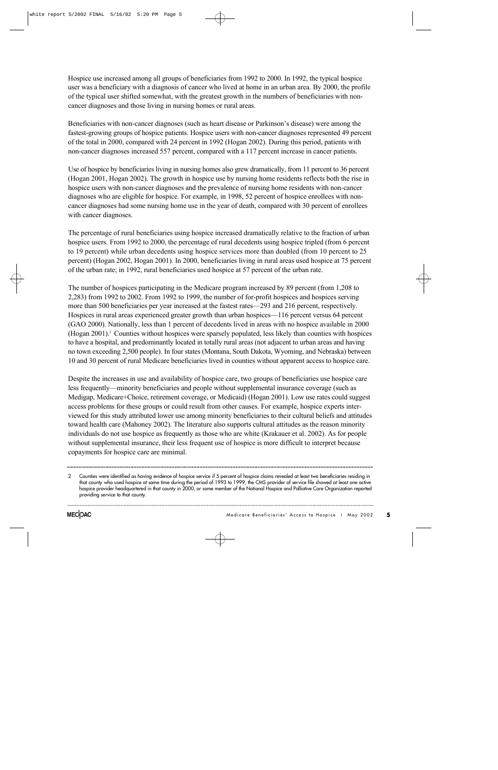Hospice use increased among all groups of beneficiaries from 1992 to 2000. In 1992, the typical hospice user was a beneficiary with a diagnosis of cancer who lived at home in an urban area. By 2000, the profile of the typical user shifted somewhat, with the greatest growth in the numbers of beneficiaries with noncancer diagnoses and those living in nursing homes or rural areas.

Beneficiaries with non-cancer diagnoses (such as heart disease or Parkinson's disease) were among the fastest-growing groups of hospice patients. Hospice users with non-cancer diagnoses represented 49 percent of the total in 2000, compared with 24 percent in 1992 (Hogan 2002). During this period, patients with non-cancer diagnoses increased 557 percent, compared with a 117 percent increase in cancer patients.

Use of hospice by beneficiaries living in nursing homes also grew dramatically, from 11 percent to 36 percent (Hogan 2001, Hogan 2002). The growth in hospice use by nursing home residents reflects both the rise in hospice users with non-cancer diagnoses and the prevalence of nursing home residents with non-cancer diagnoses who are eligible for hospice. For example, in 1998, 52 percent of hospice enrollees with noncancer diagnoses had some nursing home use in the year of death, compared with 30 percent of enrollees with cancer diagnoses.

The percentage of rural beneficiaries using hospice increased dramatically relative to the fraction of urban hospice users. From 1992 to 2000, the percentage of rural decedents using hospice tripled (from 6 percent to 19 percent) while urban decedents using hospice services more than doubled (from 10 percent to 25 percent) (Hogan 2002, Hogan 2001). In 2000, beneficiaries living in rural areas used hospice at 75 percent of the urban rate; in 1992, rural beneficiaries used hospice at 57 percent of the urban rate.

The number of hospices participating in the Medicare program increased by 89 percent (from 1,208 to 2,283) from 1992 to 2002. From 1992 to 1999, the number of for-profit hospices and hospices serving more than 500 beneficiaries per year increased at the fastest rates—293 and 216 percent, respectively. Hospices in rural areas experienced greater growth than urban hospices—116 percent versus 64 percent (GAO 2000). Nationally, less than 1 percent of decedents lived in areas with no hospice available in 2000 (Hogan 2001).<sup>2</sup> Counties without hospices were sparsely populated, less likely than counties with hospices to have a hospital, and predominantly located in totally rural areas (not adjacent to urban areas and having no town exceeding 2,500 people). In four states (Montana, South Dakota, Wyoming, and Nebraska) between 10 and 30 percent of rural Medicare beneficiaries lived in counties without apparent access to hospice care.

Despite the increases in use and availability of hospice care, two groups of beneficiaries use hospice care less frequently—minority beneficiaries and people without supplemental insurance coverage (such as Medigap, Medicare+Choice, retirement coverage, or Medicaid) (Hogan 2001). Low use rates could suggest access problems for these groups or could result from other causes. For example, hospice experts interviewed for this study attributed lower use among minority beneficiaries to their cultural beliefs and attitudes toward health care (Mahoney 2002). The literature also supports cultural attitudes as the reason minority individuals do not use hospice as frequently as those who are white (Krakauer et al. 2002). As for people without supplemental insurance, their less frequent use of hospice is more difficult to interpret because copayments for hospice care are minimal.

<sup>2</sup> Counties were identified as having evidence of hospice service if 5 percent of hospice claims revealed at least two beneficiaries residing in that county who used hospice at some time during the period of 1993 to 1999, the CMS provider of service file showed at least one active hospice provider headquartered in that county in 2000, or some member of the National Hospice and Palliative Care Organization reported providing service to that county.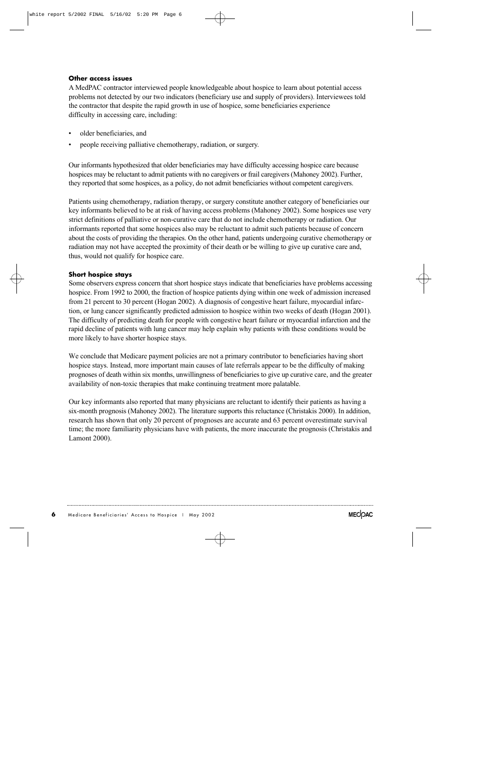### **Other access issues**

A MedPAC contractor interviewed people knowledgeable about hospice to learn about potential access problems not detected by our two indicators (beneficiary use and supply of providers). Interviewees told the contractor that despite the rapid growth in use of hospice, some beneficiaries experience difficulty in accessing care, including:

- older beneficiaries, and
- people receiving palliative chemotherapy, radiation, or surgery.

Our informants hypothesized that older beneficiaries may have difficulty accessing hospice care because hospices may be reluctant to admit patients with no caregivers or frail caregivers (Mahoney 2002). Further, they reported that some hospices, as a policy, do not admit beneficiaries without competent caregivers.

Patients using chemotherapy, radiation therapy, or surgery constitute another category of beneficiaries our key informants believed to be at risk of having access problems (Mahoney 2002). Some hospices use very strict definitions of palliative or non-curative care that do not include chemotherapy or radiation. Our informants reported that some hospices also may be reluctant to admit such patients because of concern about the costs of providing the therapies. On the other hand, patients undergoing curative chemotherapy or radiation may not have accepted the proximity of their death or be willing to give up curative care and, thus, would not qualify for hospice care.

#### **Short hospice stays**

Some observers express concern that short hospice stays indicate that beneficiaries have problems accessing hospice. From 1992 to 2000, the fraction of hospice patients dying within one week of admission increased from 21 percent to 30 percent (Hogan 2002). A diagnosis of congestive heart failure, myocardial infarction, or lung cancer significantly predicted admission to hospice within two weeks of death (Hogan 2001). The difficulty of predicting death for people with congestive heart failure or myocardial infarction and the rapid decline of patients with lung cancer may help explain why patients with these conditions would be more likely to have shorter hospice stays.

We conclude that Medicare payment policies are not a primary contributor to beneficiaries having short hospice stays. Instead, more important main causes of late referrals appear to be the difficulty of making prognoses of death within six months, unwillingness of beneficiaries to give up curative care, and the greater availability of non-toxic therapies that make continuing treatment more palatable.

Our key informants also reported that many physicians are reluctant to identify their patients as having a six-month prognosis (Mahoney 2002). The literature supports this reluctance (Christakis 2000). In addition, research has shown that only 20 percent of prognoses are accurate and 63 percent overestimate survival time; the more familiarity physicians have with patients, the more inaccurate the prognosis (Christakis and Lamont 2000).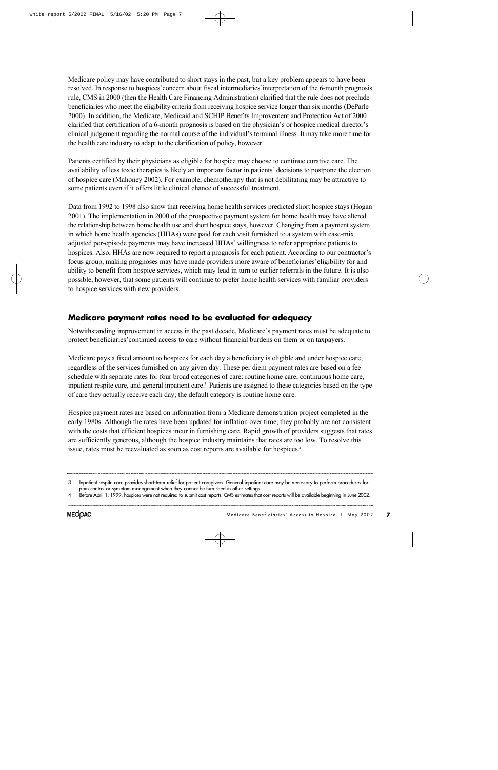Medicare policy may have contributed to short stays in the past, but a key problem appears to have been resolved. In response to hospices'concern about fiscal intermediaries'interpretation of the 6-month prognosis rule, CMS in 2000 (then the Health Care Financing Administration) clarified that the rule does not preclude beneficiaries who meet the eligibility criteria from receiving hospice service longer than six months (DeParle 2000). In addition, the Medicare, Medicaid and SCHIP Benefits Improvement and Protection Act of 2000 clarified that certification of a 6-month prognosis is based on the physician's or hospice medical director's clinical judgement regarding the normal course of the individual's terminal illness. It may take more time for the health care industry to adapt to the clarification of policy, however.

Patients certified by their physicians as eligible for hospice may choose to continue curative care. The availability of less toxic therapies is likely an important factor in patients' decisions to postpone the election of hospice care (Mahoney 2002). For example, chemotherapy that is not debilitating may be attractive to some patients even if it offers little clinical chance of successful treatment.

Data from 1992 to 1998 also show that receiving home health services predicted short hospice stays (Hogan 2001). The implementation in 2000 of the prospective payment system for home health may have altered the relationship between home health use and short hospice stays, however. Changing from a payment system in which home health agencies (HHAs) were paid for each visit furnished to a system with case-mix adjusted per-episode payments may have increased HHAs' willingness to refer appropriate patients to hospices. Also, HHAs are now required to report a prognosis for each patient. According to our contractor's focus group, making prognoses may have made providers more aware of beneficiaries'eligibility for and ability to benefit from hospice services, which may lead in turn to earlier referrals in the future. It is also possible, however, that some patients will continue to prefer home health services with familiar providers to hospice services with new providers.

## **Medicare payment rates need to be evaluated for adequacy**

Notwithstanding improvement in access in the past decade, Medicare's payment rates must be adequate to protect beneficiaries'continued access to care without financial burdens on them or on taxpayers.

Medicare pays a fixed amount to hospices for each day a beneficiary is eligible and under hospice care, regardless of the services furnished on any given day. These per diem payment rates are based on a fee schedule with separate rates for four broad categories of care: routine home care, continuous home care, inpatient respite care, and general inpatient care.<sup>3</sup> Patients are assigned to these categories based on the type of care they actually receive each day; the default category is routine home care.

Hospice payment rates are based on information from a Medicare demonstration project completed in the early 1980s. Although the rates have been updated for inflation over time, they probably are not consistent with the costs that efficient hospices incur in furnishing care. Rapid growth of providers suggests that rates are sufficiently generous, although the hospice industry maintains that rates are too low. To resolve this issue, rates must be reevaluated as soon as cost reports are available for hospices.<sup>4</sup>

<sup>3</sup> Inpatient respite care provides short-term relief for patient caregivers. General inpatient care may be necessary to perform procedures for pain control or symptom management when they cannot be furnished in other settings.

Before April 1, 1999, hospices were not required to submit cost reports. CMS estimates that cost reports will be available beginning in June 2002.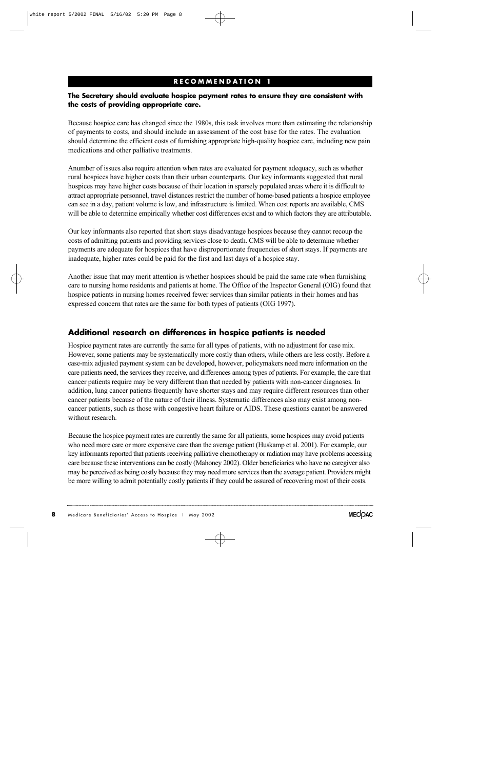## **R E C O M M E N D A T I O N 1**

### The Secretary should evaluate hospice payment rates to ensure they are consistent with **the costs of providing appropriate care.**

Because hospice care has changed since the 1980s, this task involves more than estimating the relationship of payments to costs, and should include an assessment of the cost base for the rates. The evaluation should determine the efficient costs of furnishing appropriate high-quality hospice care, including new pain medications and other palliative treatments.

Anumber of issues also require attention when rates are evaluated for payment adequacy, such as whether rural hospices have higher costs than their urban counterparts. Our key informants suggested that rural hospices may have higher costs because of their location in sparsely populated areas where it is difficult to attract appropriate personnel, travel distances restrict the number of home-based patients a hospice employee can see in a day, patient volume is low, and infrastructure is limited. When cost reports are available, CMS will be able to determine empirically whether cost differences exist and to which factors they are attributable.

Our key informants also reported that short stays disadvantage hospices because they cannot recoup the costs of admitting patients and providing services close to death. CMS will be able to determine whether payments are adequate for hospices that have disproportionate frequencies of short stays. If payments are inadequate, higher rates could be paid for the first and last days of a hospice stay.

Another issue that may merit attention is whether hospices should be paid the same rate when furnishing care to nursing home residents and patients at home. The Office of the Inspector General (OIG) found that hospice patients in nursing homes received fewer services than similar patients in their homes and has expressed concern that rates are the same for both types of patients (OIG 1997).

## Additional research on differences in hospice patients is needed

Hospice payment rates are currently the same for all types of patients, with no adjustment for case mix. However, some patients may be systematically more costly than others, while others are less costly. Before a case-mix adjusted payment system can be developed, however, policymakers need more information on the care patients need, the services they receive, and differences among types of patients. For example, the care that cancer patients require may be very different than that needed by patients with non-cancer diagnoses. In addition, lung cancer patients frequently have shorter stays and may require different resources than other cancer patients because of the nature of their illness. Systematic differences also may exist among noncancer patients, such as those with congestive heart failure or AIDS. These questions cannot be answered without research.

Because the hospice payment rates are currently the same for all patients, some hospices may avoid patients who need more care or more expensive care than the average patient (Huskamp et al. 2001). For example, our key informants reported that patients receiving palliative chemotherapy or radiation may have problems accessing care because these interventions can be costly (Mahoney 2002). Older beneficiaries who have no caregiver also may be perceived as being costly because they may need more services than the average patient. Providers might be more willing to admit potentially costly patients if they could be assured of recovering most of their costs.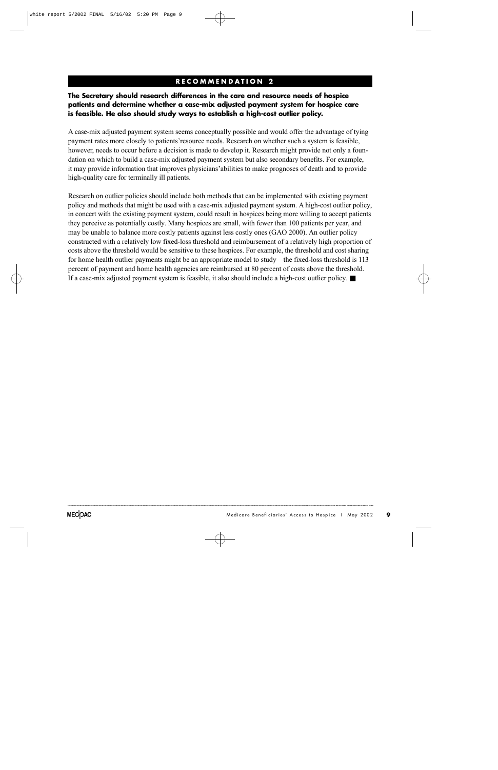## **R E C O M M E N D A T I O N 2**

## The Secretary should research differences in the care and resource needs of hospice **patients and determine whether a case-mix adjusted payment system for hospice care is feasible. He also should study ways to establish a high-cost outlier policy.**

A case-mix adjusted payment system seems conceptually possible and would offer the advantage of tying payment rates more closely to patients'resource needs. Research on whether such a system is feasible, however, needs to occur before a decision is made to develop it. Research might provide not only a foundation on which to build a case-mix adjusted payment system but also secondary benefits. For example, it may provide information that improves physicians'abilities to make prognoses of death and to provide high-quality care for terminally ill patients.

Research on outlier policies should include both methods that can be implemented with existing payment policy and methods that might be used with a case-mix adjusted payment system. A high-cost outlier policy, in concert with the existing payment system, could result in hospices being more willing to accept patients they perceive as potentially costly. Many hospices are small, with fewer than 100 patients per year, and may be unable to balance more costly patients against less costly ones (GAO 2000). An outlier policy constructed with a relatively low fixed-loss threshold and reimbursement of a relatively high proportion of costs above the threshold would be sensitive to these hospices. For example, the threshold and cost sharing for home health outlier payments might be an appropriate model to study—the fixed-loss threshold is 113 percent of payment and home health agencies are reimbursed at 80 percent of costs above the threshold. If a case-mix adjusted payment system is feasible, it also should include a high-cost outlier policy. ■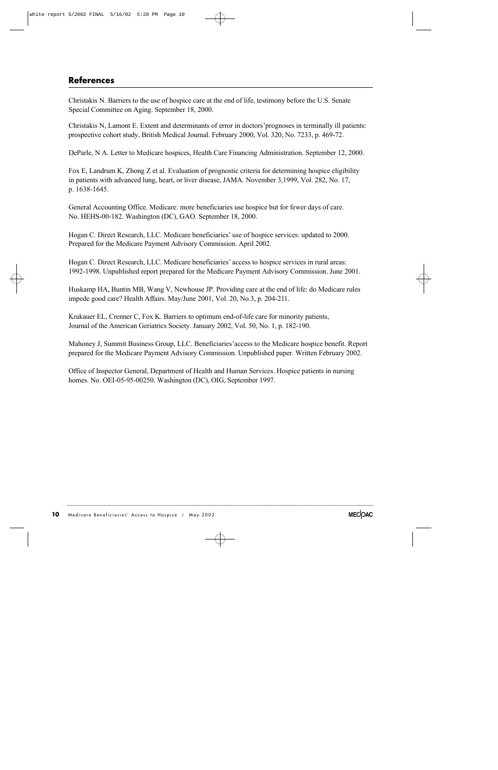# **References**

Christakis N. Barriers to the use of hospice care at the end of life, testimony before the U.S. Senate Special Committee on Aging. September 18, 2000.

Christakis N, Lamont E. Extent and determinants of error in doctors'prognoses in terminally ill patients: prospective cohort study, British Medical Journal. February 2000, Vol. 320, No. 7233, p. 469-72.

DeParle, N A. Letter to Medicare hospices, Health Care Financing Administration. September 12, 2000.

Fox E, Landrum K, Zhong Z et al. Evaluation of prognostic criteria for determining hospice eligibility in patients with advanced lung, heart, or liver disease, JAMA. November 3,1999, Vol. 282, No. 17, p. 1638-1645.

General Accounting Office. Medicare: more beneficiaries use hospice but for fewer days of care. No. HEHS-00-182. Washington (DC), GAO. September 18, 2000.

Hogan C. Direct Research, LLC. Medicare beneficiaries' use of hospice services: updated to 2000. Prepared for the Medicare Payment Advisory Commission. April 2002.

Hogan C. Direct Research, LLC. Medicare beneficiaries' access to hospice services in rural areas: 1992-1998. Unpublished report prepared for the Medicare Payment Advisory Commission. June 2001.

Huskamp HA, Buntin MB, Wang V, Newhouse JP. Providing care at the end of life: do Medicare rules impede good care? Health Affairs. May/June 2001, Vol. 20, No.3, p. 204-211.

Krakauer EL, Crenner C, Fox K. Barriers to optimum end-of-life care for minority patients, Journal of the American Geriatrics Society. January 2002, Vol. 50, No. 1, p. 182-190.

Mahoney J, Summit Business Group, LLC. Beneficiaries'access to the Medicare hospice benefit. Report prepared for the Medicare Payment Advisory Commission. Unpublished paper. Written February 2002.

O ffice of Inspector General, Department of Health and Human Services. Hospice patients in nursing homes. No. OEI-05-95-00250. Washington (DC), OIG, September 1997.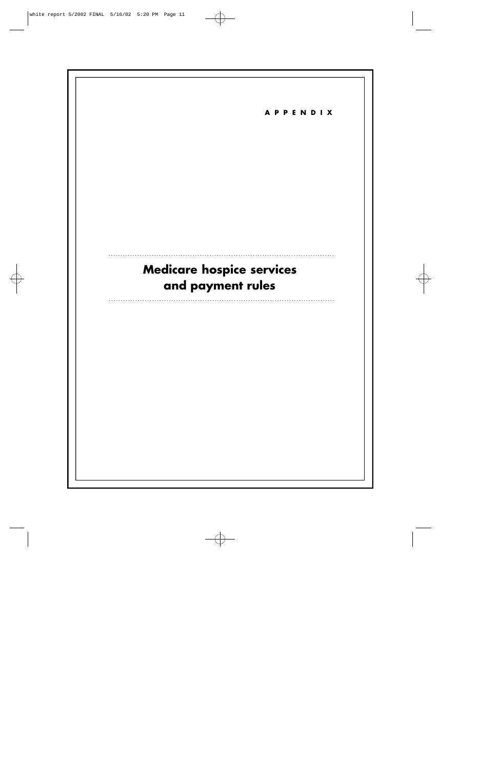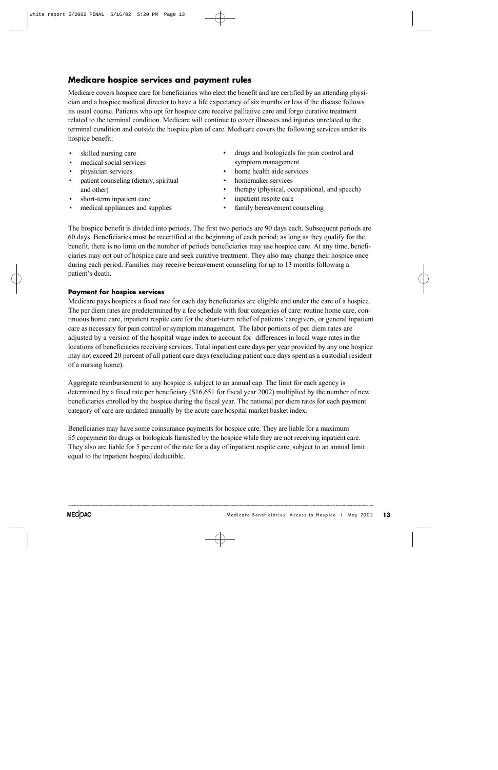## **Medicare hospice services and payment rules**

Medicare covers hospice care for beneficiaries who elect the benefit and are certified by an attending physician and a hospice medical director to have a life expectancy of six months or less if the disease follows its usual course. Patients who opt for hospice care receive palliative care and forgo curative treatment related to the terminal condition. Medicare will continue to cover illnesses and injuries unrelated to the terminal condition and outside the hospice plan of care. Medicare covers the following services under its hospice benefit:

- skilled nursing care
- medical social services
- physician services
- patient counseling (dietary, spiritual and other)
- short-term inpatient care
- medical appliances and supplies
- drugs and biologicals for pain control and symptom management
- home health aide services
- homemaker services
- therapy (physical, occupational, and speech)
- inpatient respite care
- family bereavement counseling

The hospice benefit is divided into periods. The first two periods are 90 days each. Subsequent periods are 60 days. Beneficiaries must be recertified at the beginning of each period; as long as they qualify for the benefit, there is no limit on the number of periods beneficiaries may use hospice care. At any time, beneficiaries may opt out of hospice care and seek curative treatment. They also may change their hospice once during each period. Families may receive bereavement counseling for up to 13 months following a patient's death.

### **Payment for hospice services**

Medicare pays hospices a fixed rate for each day beneficiaries are eligible and under the care of a hospice. The per diem rates are predetermined by a fee schedule with four categories of care: routine home care, continuous home care, inpatient respite care for the short-term relief of patients'caregivers, or general inpatient care as necessary for pain control or symptom management. The labor portions of per diem rates are adjusted by a version of the hospital wage index to account for differences in local wage rates in the locations of beneficiaries receiving services. Total inpatient care days per year provided by any one hospice may not exceed 20 percent of all patient care days (excluding patient care days spent as a custodial resident of a nursing home).

Aggregate reimbursement to any hospice is subject to an annual cap. The limit for each agency is determined by a fixed rate per beneficiary (\$16,651 for fiscal year 2002) multiplied by the number of new beneficiaries enrolled by the hospice during the fiscal year. The national per diem rates for each payment category of care are updated annually by the acute care hospital market basket index.

Beneficiaries may have some coinsurance payments for hospice care. They are liable for a maximum \$5 copayment for drugs or biologicals furnished by the hospice while they are not receiving inpatient care. They also are liable for 5 percent of the rate for a day of inpatient respite care, subject to an annual limit equal to the inpatient hospital deductible.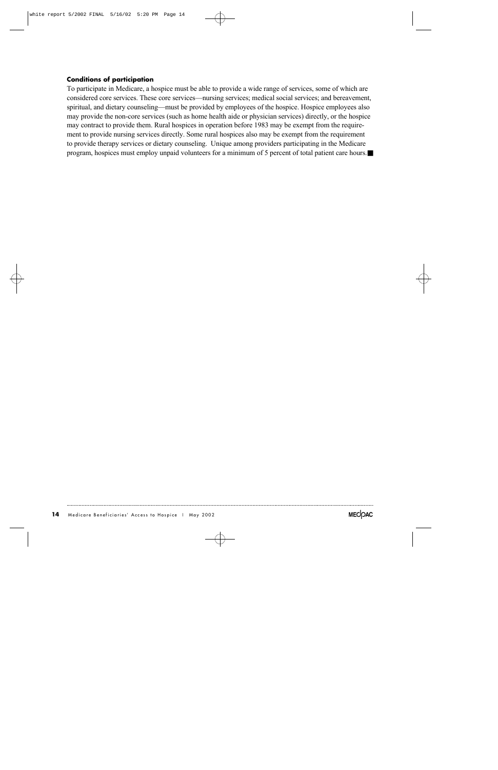### **Conditions of participation**

To participate in Medicare, a hospice must be able to provide a wide range of services, some of which are considered core services. These core services—nursing services; medical social services; and bereavement, spiritual, and dietary counseling—must be provided by employees of the hospice. Hospice employees also may provide the non-core services (such as home health aide or physician services) directly, or the hospice may contract to provide them. Rural hospices in operation before 1983 may be exempt from the requirement to provide nursing services directly. Some rural hospices also may be exempt from the requirement to provide therapy services or dietary counseling. Unique among providers participating in the Medicare program, hospices must employ unpaid volunteers for a minimum of 5 percent of total patient care hours.■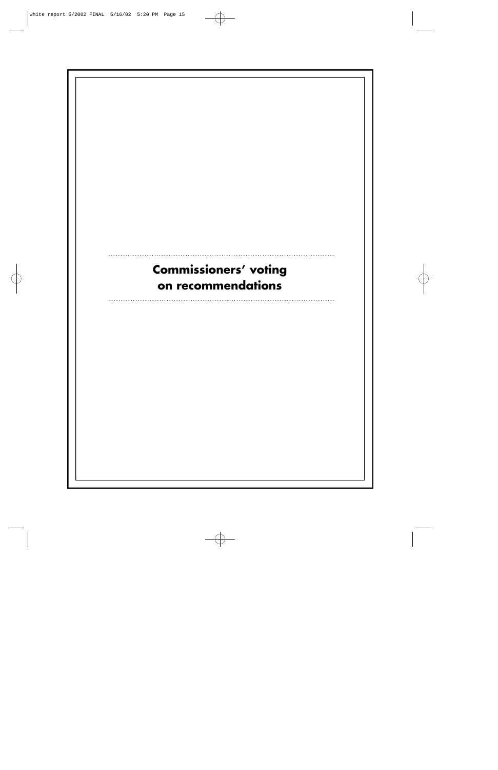# **Commissioners' voting** on recommendations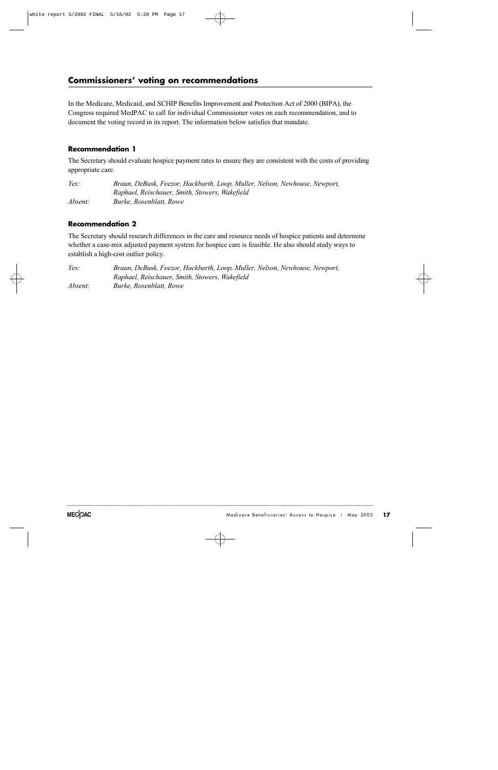## **Commissioners' voting on recommendations**

In the Medicare, Medicaid, and SCHIP Benefits Improvement and Protection Act of 2000 (BIPA), the Congress required MedPAC to call for individual Commissioner votes on each recommendation, and to document the voting record in its report. The information below satisfies that mandate.

## **Recommendation 1**

The Secretary should evaluate hospice payment rates to ensure they are consistent with the costs of providing appropriate care.

*Yes: Braun, DeBusk, Feezor, Hackbarth, Loop, Muller, Nelson, Newhouse, Newport, Raphael, Reischauer, Smith, Stowers, Wakefield A b s e n t : Burke, Rosenblatt, Rowe*

## **Recommendation 2**

The Secretary should research differences in the care and resource needs of hospice patients and determine whether a case-mix adjusted payment system for hospice care is feasible. He also should study ways to establish a high-cost outlier policy.

*Yes: Braun, DeBusk, Feezor, Hackbarth, Loop, Muller, Nelson, Newhouse, Newport, Raphael, Reischauer, Smith, Stowers, Wakefield Absent: Burke, Rosenblatt, Rowe*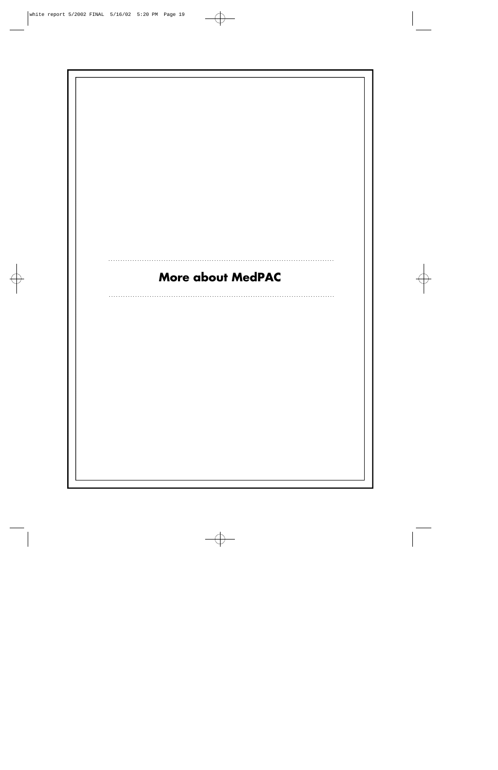# More about MedPAC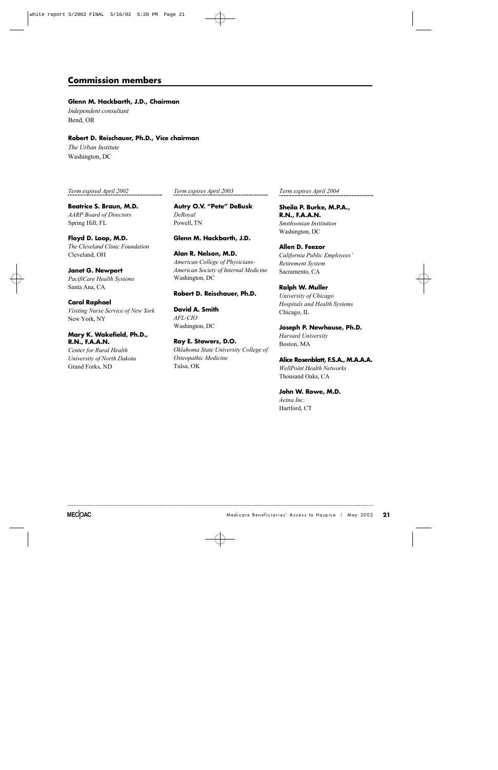## **Commission members**

#### **Glenn M. Hackbarth, J.D., Chairman**

*Independent consultant* Bend, OR

#### **Robert D. Reischauer, Ph.D., Vice chairman**

*The Urban Institute* Washington, DC

*Term expired April 2002*

**Beatrice S. Braun, M.D. AARP** Board of Directors Spring Hill, FL

**Floyd D. Loop, M.D.** *The Cleveland Clinic Foundation* Cleveland, OH

**Janet G. Newport** *PacifiCare Health Systems* Santa Ana, CA

**Carol Raphael** *Visiting Nurse Service of New York* New York, NY

### **M a ry K. Wakefield, Ph.D., R.N., F. A . A . N .**

*Center for Rural Health University of North Dakota* Grand Forks, ND

*Term expires April 2003*

**Autry O.V. "Pete" DeBusk**  $DeRoyal$ Powell, TN

#### **Glenn M. Hackbarth, J.D.**

**Alan R. Nelson, M.D.** *American College of Physicians-American Society of Internal Medicine* Washington, DC

#### **Robert D. Reischauer, Ph.D.**

**David A. Smith** *A F L - C I O* Washington, DC

**Ray E. Stowers, D.O.** *Oklahoma State University College of Osteopathic Medicine* Tulsa, OK

*Term expires April 2004*

**Sheila P. Burke, M.P.A., R.N., F.A.A.N.** *Smithsonian Institution* Washington, DC

**Allen D. Feezor** *California Public Employees' R e t i rement System* Sacramento, CA

**Ralph W. Muller** *University of Chicago Hospitals and Health Systems* Chicago, IL

**Joseph P. Newhouse, Ph.D.** *Harvard University* Boston, MA

**Alice Rosenblatt, F.S.A., M.A.A.A.** *WellPoint Health Networks* Thousand Oaks, CA

**John W. Rowe, M.D.** *Aetna Inc.* Hartford, CT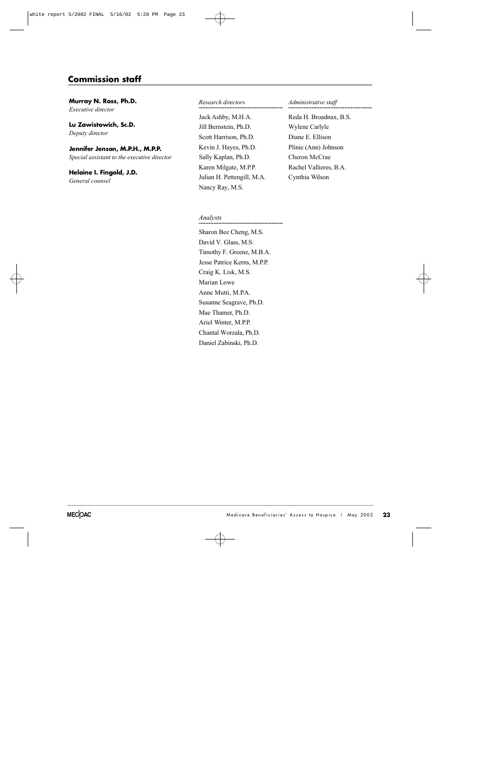# **Commission staff**

**Murray N. Ross, Ph.D.** *Executive director* 

**Lu Zawistowich, Sc.D.** *Deputy director* 

## Jennifer Jenson, M.P.H., M.P.P.

*Special assistant to the executive director* 

**Helaine I. Fingold, J.D.** *General counsel*

#### *R e s e a rch dire c t o r s*

Jack Ashby, M.H.A. Jill Bernstein, Ph.D. Scott Harrison, Ph.D. Kevin J. Hayes, Ph.D. Sally Kaplan, Ph.D. Karen Milgate, M.P.P. Julian H. Pettengill, M.A. Nancy Ray, M.S.

#### *Administrative staff*

Reda H. Broadnax, B.S. Wylene Carlyle Diane E. Ellison Plinie (Ann) Johnson Cheron McCrae Rachel Vallieres, B.A. Cynthia Wilson

#### *Analysts*

Sharon Bee Cheng, M.S. David V. Glass, M.S. Timothy F. Greene, M.B.A. Jesse Patrice Kerns, M.P.P. Craig K. Lisk, M.S. Marian Lowe Anne Mutti, M.P.A. Susanne Seagrave, Ph.D. Mae Thamer, Ph.D. Ariel Winter, M.P.P. Chantal Worzala, Ph.D. Daniel Zabinski, Ph.D.